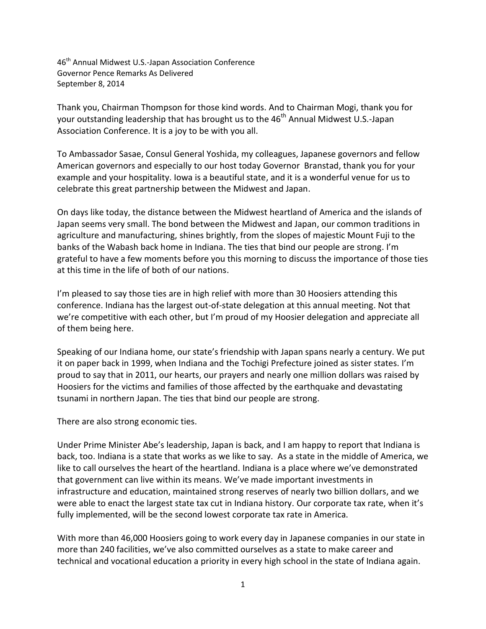46th Annual Midwest U.S.-Japan Association Conference Governor Pence Remarks As Delivered September 8, 2014

Thank you, Chairman Thompson for those kind words. And to Chairman Mogi, thank you for your outstanding leadership that has brought us to the 46<sup>th</sup> Annual Midwest U.S.-Japan Association Conference. It is a joy to be with you all.

To Ambassador Sasae, Consul General Yoshida, my colleagues, Japanese governors and fellow American governors and especially to our host today Governor Branstad, thank you for your example and your hospitality. Iowa is a beautiful state, and it is a wonderful venue for us to celebrate this great partnership between the Midwest and Japan.

On days like today, the distance between the Midwest heartland of America and the islands of Japan seems very small. The bond between the Midwest and Japan, our common traditions in agriculture and manufacturing, shines brightly, from the slopes of majestic Mount Fuji to the banks of the Wabash back home in Indiana. The ties that bind our people are strong. I'm grateful to have a few moments before you this morning to discuss the importance of those ties at this time in the life of both of our nations.

I'm pleased to say those ties are in high relief with more than 30 Hoosiers attending this conference. Indiana has the largest out-of-state delegation at this annual meeting. Not that we're competitive with each other, but I'm proud of my Hoosier delegation and appreciate all of them being here.

Speaking of our Indiana home, our state's friendship with Japan spans nearly a century. We put it on paper back in 1999, when Indiana and the Tochigi Prefecture joined as sister states. I'm proud to say that in 2011, our hearts, our prayers and nearly one million dollars was raised by Hoosiers for the victims and families of those affected by the earthquake and devastating tsunami in northern Japan. The ties that bind our people are strong.

There are also strong economic ties.

Under Prime Minister Abe's leadership, Japan is back, and I am happy to report that Indiana is back, too. Indiana is a state that works as we like to say. As a state in the middle of America, we like to call ourselves the heart of the heartland. Indiana is a place where we've demonstrated that government can live within its means. We've made important investments in infrastructure and education, maintained strong reserves of nearly two billion dollars, and we were able to enact the largest state tax cut in Indiana history. Our corporate tax rate, when it's fully implemented, will be the second lowest corporate tax rate in America.

With more than 46,000 Hoosiers going to work every day in Japanese companies in our state in more than 240 facilities, we've also committed ourselves as a state to make career and technical and vocational education a priority in every high school in the state of Indiana again.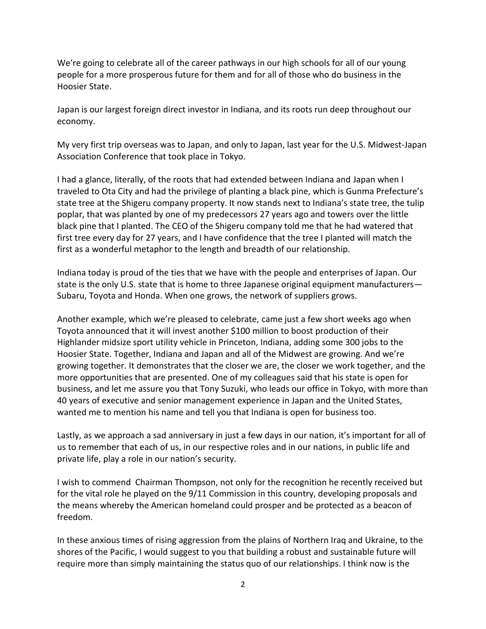We're going to celebrate all of the career pathways in our high schools for all of our young people for a more prosperous future for them and for all of those who do business in the Hoosier State.

Japan is our largest foreign direct investor in Indiana, and its roots run deep throughout our economy.

My very first trip overseas was to Japan, and only to Japan, last year for the U.S. Midwest-Japan Association Conference that took place in Tokyo.

I had a glance, literally, of the roots that had extended between Indiana and Japan when I traveled to Ota City and had the privilege of planting a black pine, which is Gunma Prefecture's state tree at the Shigeru company property. It now stands next to Indiana's state tree, the tulip poplar, that was planted by one of my predecessors 27 years ago and towers over the little black pine that I planted. The CEO of the Shigeru company told me that he had watered that first tree every day for 27 years, and I have confidence that the tree I planted will match the first as a wonderful metaphor to the length and breadth of our relationship.

Indiana today is proud of the ties that we have with the people and enterprises of Japan. Our state is the only U.S. state that is home to three Japanese original equipment manufacturers— Subaru, Toyota and Honda. When one grows, the network of suppliers grows.

Another example, which we're pleased to celebrate, came just a few short weeks ago when Toyota announced that it will invest another \$100 million to boost production of their Highlander midsize sport utility vehicle in Princeton, Indiana, adding some 300 jobs to the Hoosier State. Together, Indiana and Japan and all of the Midwest are growing. And we're growing together. It demonstrates that the closer we are, the closer we work together, and the more opportunities that are presented. One of my colleagues said that his state is open for business, and let me assure you that Tony Suzuki, who leads our office in Tokyo, with more than 40 years of executive and senior management experience in Japan and the United States, wanted me to mention his name and tell you that Indiana is open for business too.

Lastly, as we approach a sad anniversary in just a few days in our nation, it's important for all of us to remember that each of us, in our respective roles and in our nations, in public life and private life, play a role in our nation's security.

I wish to commend Chairman Thompson, not only for the recognition he recently received but for the vital role he played on the 9/11 Commission in this country, developing proposals and the means whereby the American homeland could prosper and be protected as a beacon of freedom.

In these anxious times of rising aggression from the plains of Northern Iraq and Ukraine, to the shores of the Pacific, I would suggest to you that building a robust and sustainable future will require more than simply maintaining the status quo of our relationships. I think now is the